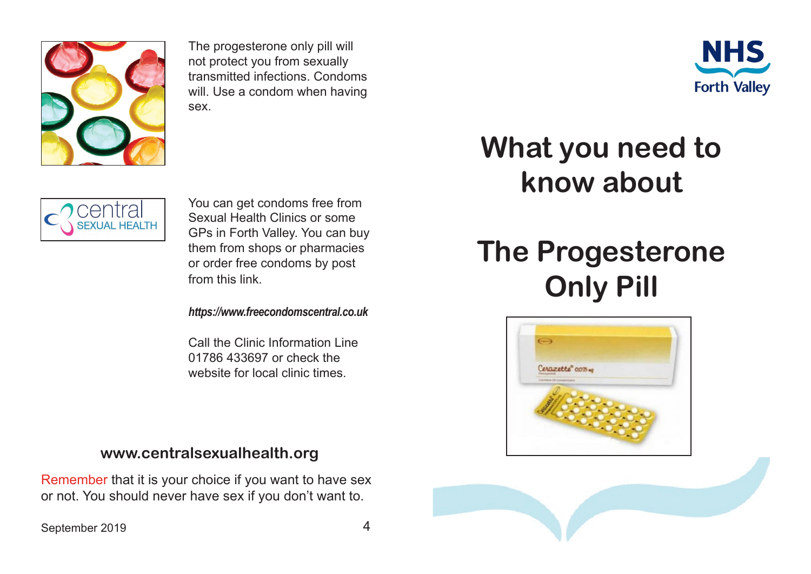

The progesterone only pill will not protect you from sexually transmitted infections. Condoms will. Use a condom when having sex.





You can get condoms free from Sexual Health Clinics or some GPs in Forth Valley. You can buy them from shops or pharmacies or order free condoms by post from this link.

*https://www.freecondomscentral.co.uk*

Call the Clinic Information Line 01786 433697 or check the website for local clinic times.

## **www.centralsexualhealth.org**

Remember that it is your choice if you want to have sex or not. You should never have sex if you don't want to.

## **What you need to know about**

## **The Progesterone Only Pill**